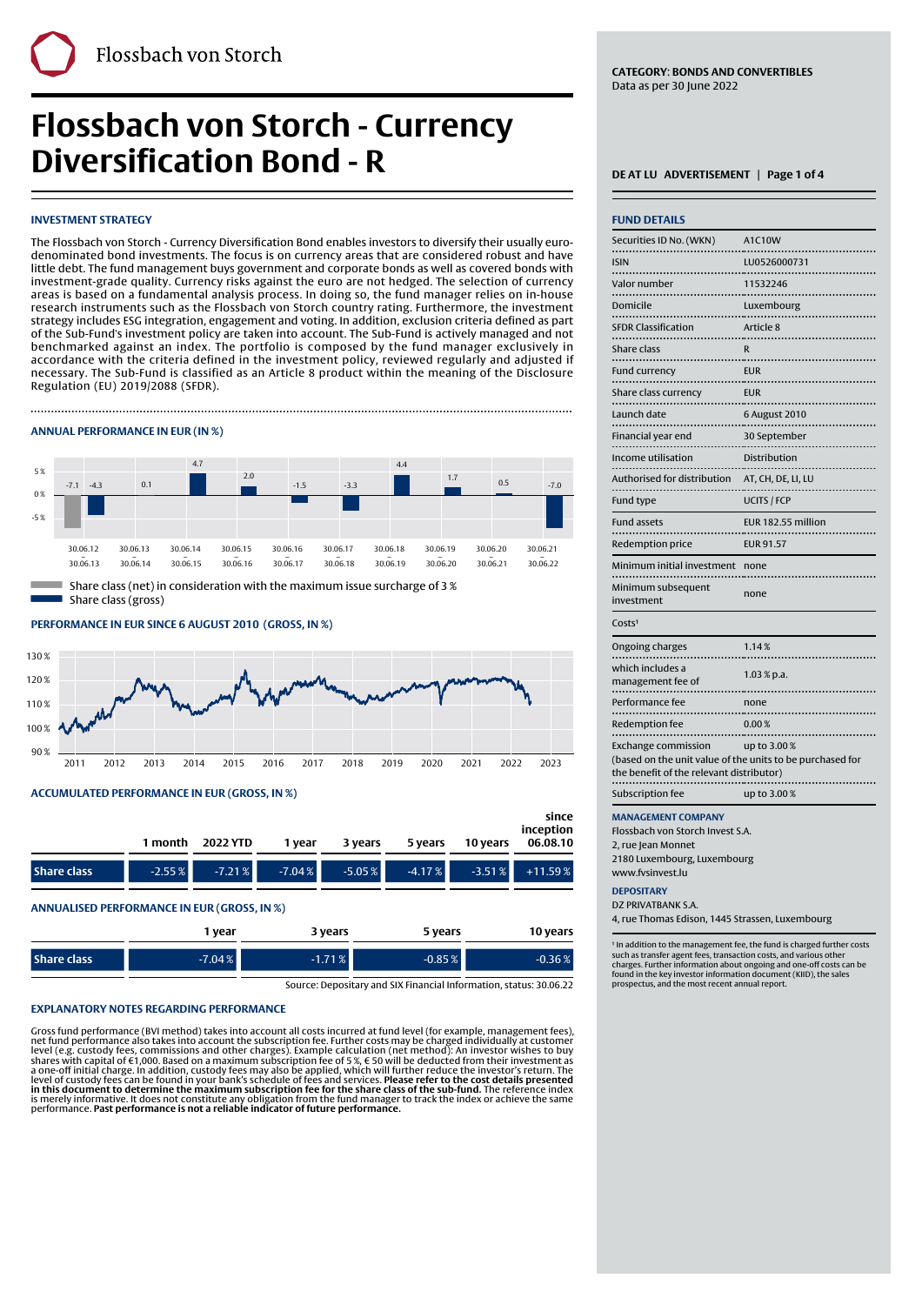# **Flossbach von Storch - Currency Diversification Bond - R** DEATLU ADVERTISEMENT | Page 1 of 4

# **INVESTMENT STRATEGY**

The Flossbach von Storch - Currency Diversification Bond enables investors to diversify their usually eurodenominated bond investments. The focus is on currency areas that are considered robust and have little debt. The fund management buys government and corporate bonds as well as covered bonds with investment-grade quality. Currency risks against the euro are not hedged. The selection of currency areas is based on a fundamental analysis process. In doing so, the fund manager relies on in-house research instruments such as the Flossbach von Storch country rating. Furthermore, the investment strategy includes ESG integration, engagement and voting. In addition, exclusion criteria defined as part of the Sub-Fund's investment policy are taken into account. The Sub-Fund is actively managed and not benchmarked against an index. The portfolio is composed by the fund manager exclusively in accordance with the criteria defined in the investment policy, reviewed regularly and adjusted if necessary. The Sub-Fund is classified as an Article 8 product within the meaning of the Disclosure Regulation (EU) 2019/2088 (SFDR).

Finally, the contract of the contract of the contract of the contract of the contract of the contract of the c

## **ANNUAL PERFORMANCE IN EUR (IN %)**



Share class (gross)

# PERFORMANCE IN EUR SINCE 6 AUGUST 2010 (GROSS, IN %)



# **ACCUMULATED PERFORMANCE IN EUR (GROSS, IN %)**

|                    |          | 1 month 2022 YTD | 1 vear    | 3 years  | 5 years   | 10 years | since<br>inception<br>06.08.10 |
|--------------------|----------|------------------|-----------|----------|-----------|----------|--------------------------------|
| <b>Share class</b> | $-2.55%$ | $-7.21%$         | $-7.04\%$ | $-5.05%$ | $-4.17\%$ |          | $-3.51\%$ +11.59%              |

### **ANNUALISED PERFORMANCE IN EUR (GROSS, IN %)**

|                    | vear     | 3 years  | 5 years  | 10 years  |
|--------------------|----------|----------|----------|-----------|
| <b>Share class</b> | $-7.04%$ | $-1.71%$ | $-0.85%$ | $-0.36\%$ |

Source: Depositary and SIX Financial Information, status: 30.06.22

# **EXPLANATORY NOTES REGARDING PERFORMANCE**

Gross fund performance (BVI method) takes into account all costs incurred at fund level (for example, management fees),<br>net fund performance also takes into account the subscription fee. Further costs may be charged indiv

| <b>FUND DETAILS</b>                                                                                   |                    |
|-------------------------------------------------------------------------------------------------------|--------------------|
| Securities ID No. (WKN)                                                                               | A1C10W             |
| <b>ISIN</b>                                                                                           | LU0526000731       |
| Valor number<br>.                                                                                     | 11532246           |
| Domicile<br>.                                                                                         | Luxembourg         |
| <b>SFDR Classification</b>                                                                            | Article 8          |
| Share class                                                                                           | R                  |
| <br><b>Fund currency</b>                                                                              | <b>EUR</b>         |
| Share class currency                                                                                  | <b>EUR</b>         |
| Launch date                                                                                           | 6 August 2010<br>. |
| Financial year end                                                                                    | 30 September       |
| Income utilisation                                                                                    | Distribution       |
| Authorised for distribution                                                                           | AT, CH, DE, LI, LU |
| Fund type                                                                                             | <b>UCITS / FCP</b> |
|                                                                                                       |                    |
| <b>Fund assets</b>                                                                                    | EUR 182.55 million |
| Redemption price                                                                                      | <b>EUR 91.57</b>   |
| Minimum initial investment                                                                            | none               |
| Minimum subsequent<br>investment                                                                      | none               |
| Costs <sup>1</sup>                                                                                    |                    |
| Ongoing charges                                                                                       | 1.14%              |
| which includes a<br>management fee of                                                                 | 1.03 % p.a.        |
| Performance fee                                                                                       | none               |
| .<br><b>Redemption fee</b>                                                                            | 0.00%              |
| <b>Exchange commission</b>                                                                            | up to 3.00%        |
| (based on the unit value of the units to be purchased for<br>the benefit of the relevant distributor) |                    |
| Subscription fee                                                                                      | up to 3.00%        |

Flossbach von Storch Invest S.A.

2, rue Jean Monnet 2180 Luxembourg, Luxembourg

www.fvsinvest.lu

# **DEPOSITARY**

DZ PRIVATRANK S.A. 4, rue Thomas Edison, 1445 Strassen, Luxembourg

<sup>1</sup> In addition to the management fee, the fund is charged further costs such as transfer agent fees, transaction costs, and various other charges. Further information about ongoing and one-off costs can be found in the key investor information document (KIID), the sales prospectus, and the most recent annual report.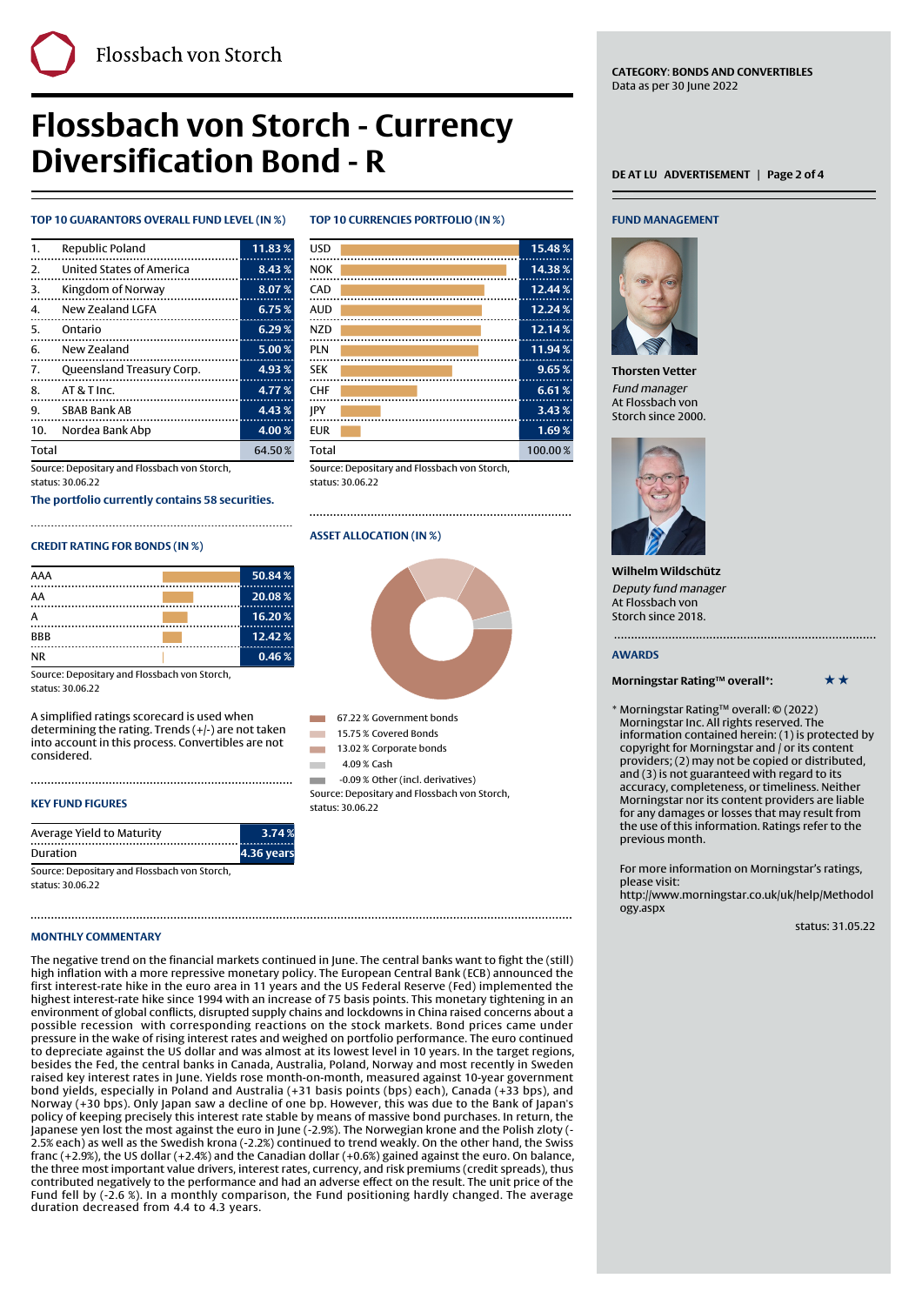**CATEGORY**: **BONDS AND CONVERTIBLES** Data as per 30 June 2022

# **Flossbach von Storch - Currency Diversification Bond - R** DEATLU ADVERTISEMENT | Page 2 of 4

Finally, the contract of the contract of the contract of the contract of the contract of the contract of the c

## **TOP 10 GUARANTORS OVERALL FUND LEVEL (IN %)**

| 1.           | Republic Poland           | 11.83% |
|--------------|---------------------------|--------|
| 2.           | United States of America  | 8.43%  |
| 3.           | Kingdom of Norway<br>.    | 8.07%  |
| 4.           | New Zealand LGFA          | 6.75%  |
| -5.          | Ontario                   | 6.29%  |
| 6.           | New Zealand               | 5.00%  |
| 7.           | Queensland Treasury Corp. | 4.93%  |
| 8.           | $AT & T$ Inc.             | 4.77%  |
| 9.           | SBAB Bank AB              | 4.43%  |
| 10.          | Nordea Bank Abp           | 4.00%  |
| <b>Total</b> |                           | 64.50% |

Source: Depositary and Flossbach von Storch, status: 30.06.22

**The portfolio currently contains 58 securities.**

# **CREDIT RATING FOR BONDS (IN %)**

| 50.84% |
|--------|
| 20.08% |
| 16.20% |
| 12.42% |
| 0.46%  |
|        |

Source: Depositary and Flossbach von Storch, status: 30.06.22

A simplified ratings scorecard is used when determining the rating. Trends (+/-) are not taken into account in this process. Convertibles are not considered.

# **KEY FUND FIGURES**

| Average Yield to Maturity                    | 3.74%      |
|----------------------------------------------|------------|
| Duration                                     | 4.36 years |
| Source: Depositary and Flossbach von Storch, |            |

status: 30.06.22

### **MONTHLY COMMENTARY**

The negative trend on the financial markets continued in June. The central banks want to fight the (still) high inflation with a more repressive monetary policy. The European Central Bank (ECB) announced the first interest-rate hike in the euro area in 11 years and the US Federal Reserve (Fed) implemented the highest interest-rate hike since 1994 with an increase of 75 basis points. This monetary tightening in an environment of global conflicts, disrupted supply chains and lockdowns in China raised concerns about a possible recession with corresponding reactions on the stock markets. Bond prices came under pressure in the wake of rising interest rates and weighed on portfolio performance. The euro continued to depreciate against the US dollar and was almost at its lowest level in 10 years. In the target regions, besides the Fed, the central banks in Canada, Australia, Poland, Norway and most recently in Sweden raised key interest rates in June. Yields rose month-on-month, measured against 10-year government bond yields, especially in Poland and Australia (+31 basis points (bps) each), Canada (+33 bps), and Norway (+30 bps). Only Japan saw a decline of one bp. However, this was due to the Bank of Japan's policy of keeping precisely this interest rate stable by means of massive bond purchases. In return, the Japanese yen lost the most against the euro in June (-2.9%). The Norwegian krone and the Polish zloty (- 2.5% each) as well as the Swedish krona (-2.2%) continued to trend weakly. On the other hand, the Swiss franc (+2.9%), the US dollar (+2.4%) and the Canadian dollar (+0.6%) gained against the euro. On balance, the three most important value drivers, interest rates, currency, and risk premiums (credit spreads), thus contributed negatively to the performance and had an adverse effect on the result. The unit price of the Fund fell by (-2.6 %). In a monthly comparison, the Fund positioning hardly changed. The average duration decreased from 4.4 to 4.3 years.

# **TOP 10 CURRENCIES PORTFOLIO (IN %)**

| <b>USD</b>                                  | 15.48%   |
|---------------------------------------------|----------|
| <b>NOK</b>                                  | 14.38%   |
| CAD                                         | 12.44%   |
| <b>AUD</b>                                  | 12.24%   |
| <b>NZD</b>                                  | 12.14%   |
| <b>PLN</b>                                  | 11.94%   |
| <b>SEK</b>                                  | 9.65%    |
| <b>CHF</b>                                  | 6.61%    |
| <b>IPY</b>                                  | $3.43\%$ |
| <b>EUR</b>                                  | 1.69%    |
| Total                                       | 100.00%  |
| Course: Depositor: and Flossbash von Storsh |          |

itary and Flossbach von Storch, status: 30.06.22

### **ASSET ALLOCATION (IN %)**



**1 67.22 % Government bonds** 

- **15.75% Covered Bonds**
- 13.02 % Corporate bonds
	- <sup>1</sup> 4.09 % Cash

1 -0.09% Other (incl. derivatives) Source: Depositary and Flossbach von Storch, status: 30.06.22

# **FUND MANAGEMENT**



**Thorsten Vetter** Fund manager At Flossbach von Storch since 2000.



**Wilhelm Wildschütz** Deputy fund manager At Flossbach von Storch since 2018.

#### **AWARDS**

#### **Morningstar Rating™ overall\*:** \*\*\*

\* Morningstar Rating™ overall: © (2022) Morningstar Inc. All rights reserved. The information contained herein: (1) is protected by copyright for Morningstar and / or its content providers; (2) may not be copied or distributed, and (3) is not guaranteed with regard to its accuracy, completeness, or timeliness. Neither Morningstar nor its content providers are liable for any damages or losses that may result from the use of this information. Ratings refer to the previous month.

For more information on Morningstar's ratings, please visit:

[http://www.morningstar.co.uk/uk/help/Methodol](http://www.morningstar.co.uk/uk/help/Methodology.aspx) [ogy.aspx](http://www.morningstar.co.uk/uk/help/Methodology.aspx)

status: 31.05.22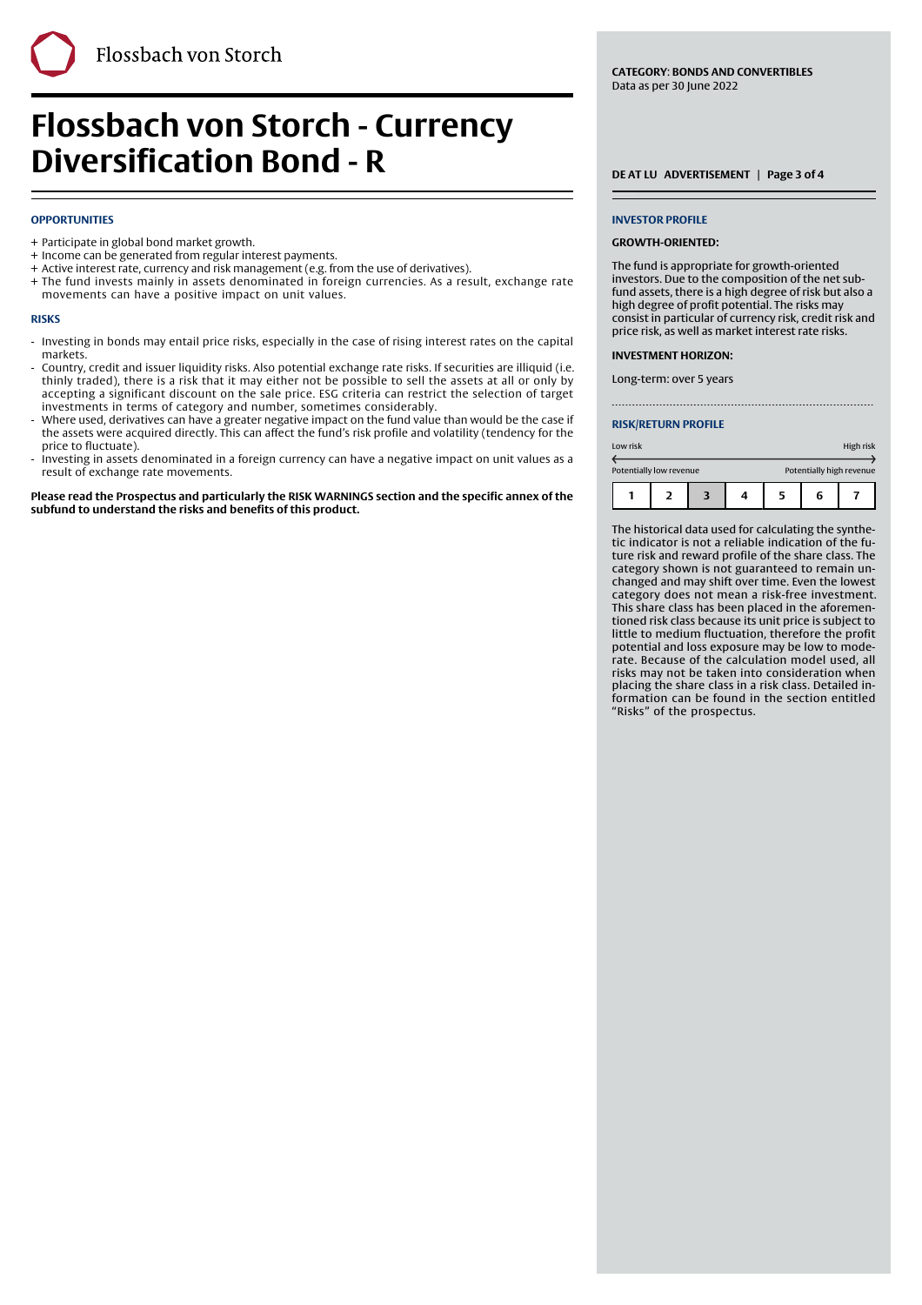# **Flossbach von Storch - Currency Diversification Bond - R** DEATLU ADVERTISEMENT | Page 3 of 4

# **OPPORTUNITIES**

- + Participate in global bond market growth.
- + Income can be generated from regular interest payments.
- + Active interest rate, currency and risk management (e.g. from the use of derivatives).
- The fund invests mainly in assets denominated in foreign currencies. As a result, exchange rate + movements can have a positive impact on unit values.

Finally, the contract of the contract of the contract of the contract of the contract of the contract of the c

#### **RISKS**

- Investing in bonds may entail price risks, especially in the case of rising interest rates on the capital markets. -
- Country, credit and issuer liquidity risks. Also potential exchange rate risks. If securities are illiquid (i.e. thinly traded), there is a risk that it may either not be possible to sell the assets at all or only by accepting a significant discount on the sale price. ESG criteria can restrict the selection of target investments in terms of category and number, sometimes considerably. -
- Where used, derivatives can have a greater negative impact on the fund value than would be the case if the assets were acquired directly. This can affect the fund's risk profile and volatility (tendency for the price to fluctuate). -
- Investing in assets denominated in a foreign currency can have a negative impact on unit values as a result of exchange rate movements. -

**Please read the Prospectus and particularly the RISK WARNINGS section and the specific annex of the subfund to understand the risks and benefits of this product.**

**CATEGORY**: **BONDS AND CONVERTIBLES** Data as per 30 June 2022

#### **INVESTOR PROFILE**

#### **GROWTH-ORIENTED:**

The fund is appropriate for growth-oriented investors. Due to the composition of the net subfund assets, there is a high degree of risk but also a high degree of profit potential. The risks may consist in particular of currency risk, credit risk and price risk, as well as market interest rate risks.

#### **INVESTMENT HORIZON:**

Long-term: over 5 years

#### **RISK/RETURN PROFILE**

| Low risk                |  |  |                          | High risk |  |
|-------------------------|--|--|--------------------------|-----------|--|
| Potentially low revenue |  |  | Potentially high revenue |           |  |
|                         |  |  | 5                        | 6         |  |

The historical data used for calculating the synthetic indicator is not a reliable indication of the future risk and reward profile of the share class. The category shown is not guaranteed to remain unchanged and may shift over time. Even the lowest category does not mean a risk-free investment. This share class has been placed in the aforementioned risk class because its unit price is subject to little to medium fluctuation, therefore the profit potential and loss exposure may be low to moderate. Because of the calculation model used, all risks may not be taken into consideration when placing the share class in a risk class. Detailed information can be found in the section entitled "Risks" of the prospectus.